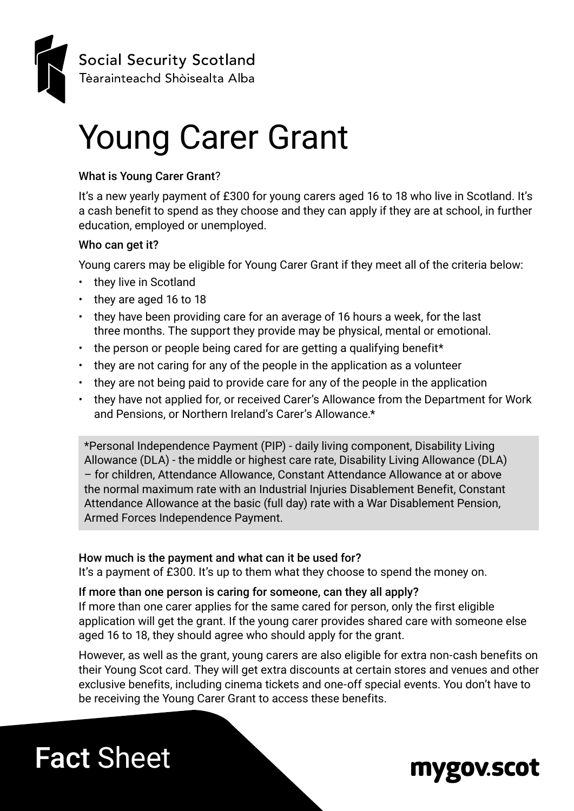

# Young Carer Grant

#### What is Young Carer Grant?

It's a new yearly payment of £300 for young carers aged 16 to 18 who live in Scotland. It's a cash benefit to spend as they choose and they can apply if they are at school, in further education, employed or unemployed.

#### Who can get it?

Young carers may be eligible for Young Carer Grant if they meet all of the criteria below:

- they live in Scotland
- they are aged 16 to 18
- they have been providing care for an average of 16 hours a week, for the last three months. The support they provide may be physical, mental or emotional.
- the person or people being cared for are getting a qualifying benefit\*
- they are not caring for any of the people in the application as a volunteer
- they are not being paid to provide care for any of the people in the application
- they have not applied for, or received Carer's Allowance from the Department for Work and Pensions, or Northern Ireland's Carer's Allowance.\*

\*Personal Independence Payment (PIP) - daily living component, Disability Living Allowance (DLA) - the middle or highest care rate, Disability Living Allowance (DLA) – for children, Attendance Allowance, Constant Attendance Allowance at or above the normal maximum rate with an Industrial Injuries Disablement Benefit, Constant Attendance Allowance at the basic (full day) rate with a War Disablement Pension, Armed Forces Independence Payment.

#### How much is the payment and what can it be used for?

It's a payment of £300. It's up to them what they choose to spend the money on.

#### If more than one person is caring for someone, can they all apply?

If more than one carer applies for the same cared for person, only the first eligible application will get the grant. If the young carer provides shared care with someone else aged 16 to 18, they should agree who should apply for the grant.

However, as well as the grant, young carers are also eligible for extra non-cash benefits on their Young Scot card. They will get extra discounts at certain stores and venues and other exclusive benefits, including cinema tickets and one-off special events. You don't have to be receiving the Young Carer Grant to access these benefits.

## Fact Sheet

### mygov.scot